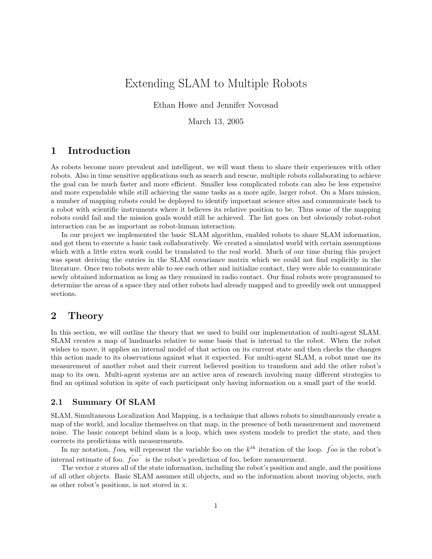# Extending SLAM to Multiple Robots

Ethan Howe and Jennifer Novosad

March 13, 2005

## 1 Introduction

As robots become more prevalent and intelligent, we will want them to share their experiences with other robots. Also in time sensitive applications such as search and rescue, multiple robots collaborating to achieve the goal can be much faster and more efficient. Smaller less complicated robots can also be less expensive and more expendable while still achieving the same tasks as a more agile, larger robot. On a Mars mission, a number of mapping robots could be deployed to identify important science sites and communicate back to a robot with scientific instruments where it believes its relative position to be. Thus some of the mapping robots could fail and the mission goals would still be achieved. The list goes on but obviously robot-robot interaction can be as important as robot-human interaction.

In our project we implemented the basic SLAM algorithm, enabled robots to share SLAM information, and got them to execute a basic task collaboratively. We created a simulated world with certain assumptions which with a little extra work could be translated to the real world. Much of our time during this project was spent deriving the entries in the SLAM covariance matrix which we could not find explicitly in the literature. Once two robots were able to see each other and initialize contact, they were able to communicate newly obtained information as long as they remained in radio contact. Our final robots were programmed to determine the areas of a space they and other robots had already mapped and to greedily seek out unmapped sections.

## 2 Theory

In this section, we will outline the theory that we used to build our implementation of multi-agent SLAM. SLAM creates a map of landmarks relative to some basis that is internal to the robot. When the robot wishes to move, it applies an internal model of that action on its current state and then checks the changes this action made to its observations against what it expected. For multi-agent SLAM, a robot must use its measurement of another robot and their current believed position to transform and add the other robot's map to its own. Multi-agent systems are an active area of research involving many different strategies to find an optimal solution in spite of each participant only having information on a small part of the world.

## 2.1 Summary Of SLAM

SLAM, Simultaneous Localization And Mapping, is a technique that allows robots to simultaneously create a map of the world, and localize themselves on that map, in the presence of both measurement and movement noise. The basic concept behind slam is a loop, which uses system models to predict the state, and then corrects its predictions with measurements.

In my notation,  $foo_k$  will represent the variable foo on the  $k^{th}$  iteration of the loop.  $\hat{foo}$  is the robot's internal estimate of foo.  $\hat{f}o\overline{o}$  is the robot's prediction of foo, before measurement.

The vector x stores all of the state information, including the robot's position and angle, and the positions of all other objects. Basic SLAM assumes still objects, and so the information about moving objects, such as other robot's positions, is not stored in x.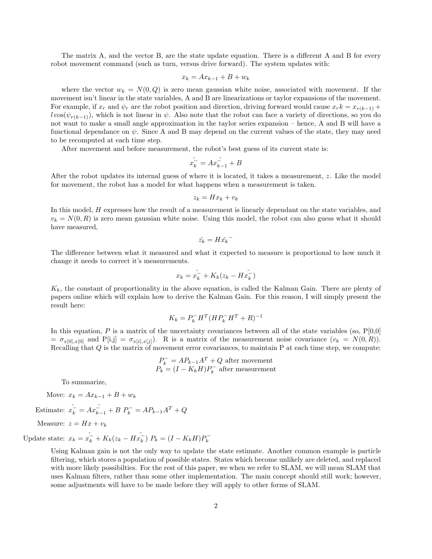The matrix A, and the vector B, are the state update equation. There is a different A and B for every robot movement command (such as turn, versus drive forward). The system updates with:

$$
x_k = Ax_{k-1} + B + w_k
$$

where the vector  $w_k = N(0, Q)$  is zero mean gaussian white noise, associated with movement. If the movement isn't linear in the state variables, A and B are linearizations or taylor expansions of the movement. For example, if  $x_r$  and  $\psi_r$  are the robot position and direction, driving forward would cause  $x_r k = x_{r(k-1)} +$  $l \cos(\psi_{r(k-1)})$ , which is not linear in  $\psi$ . Also note that the robot can face a variety of directions, so you do not want to make a small angle approximation in the taylor series expansion – hence, A and B will have a functional dependance on  $\psi$ . Since A and B may depend on the current values of the state, they may need to be recomputed at each time step.

After movement and before measurement, the robot's best guess of its current state is:

$$
\hat{x_k} = A x_{k-1}^2 + B
$$

After the robot updates its internal guess of where it is located, it takes a measurement, z. Like the model for movement, the robot has a model for what happens when a measurement is taken.

$$
z_k = Hx_k + v_k
$$

In this model, H expresses how the result of a measurement is linearly dependant on the state variables, and  $v_k = N(0, R)$  is zero mean gaussian white noise. Using this model, the robot can also guess what it should have measured,

$$
\hat{z_k} = H \hat{x_k}^-
$$

The difference between what it measured and what it expected to measure is proportional to how much it change it needs to correct it's measurements.

$$
x_k = \hat{x_k} + K_k(z_k - H\hat{x_k})
$$

 $K_k$ , the constant of proportionality in the above equation, is called the Kalman Gain. There are plenty of papers online which will explain how to derive the Kalman Gain. For this reason, I will simply present the result here:

$$
K_k = P_k^- H^T (H P_k^- H^T + R)^{-1}
$$

In this equation, P is a matrix of the uncertainty covariances between all of the state variables (so,  $P[0,0]$ )  $= \sigma_{x[0],x[0]}$  and P[i,j] =  $\sigma_{x[i],x[j]}$ . R is a matrix of the measurement noise covariance  $(v_k = N(0,R))$ . Recalling that Q is the matrix of movement error covariances, to maintain P at each time step, we compute:

$$
P_k^- = AP_{k-1}A^T + Q
$$
 after movement  

$$
P_k = (I - K_k H)P_k^-
$$
 after measurement

To summarize,

Move:  $x_k = Ax_{k-1} + B + w_k$ 

Estimate:  $\hat{x_k} = Ax_{k-1}^{\hat{-}} + B P_k^- = AP_{k-1}A^T + Q$ 

Measure: 
$$
z = Hx + v_k
$$

Update state:  $x_k = \hat{x_k} + K_k(z_k - H\hat{x_k})$  $\sum_{k}^{2}$ )  $P_k = (I - K_k H) P_k^{-}$ k

> Using Kalman gain is not the only way to update the state estimate. Another common example is particle filtering, which stores a population of possible states. States which become unlikely are deleted, and replaced with more likely possibilties. For the rest of this paper, we when we refer to SLAM, we will mean SLAM that uses Kalman filters, rather than some other implementation. The main concept should still work; however, some adjustments will have to be made before they will apply to other forms of SLAM.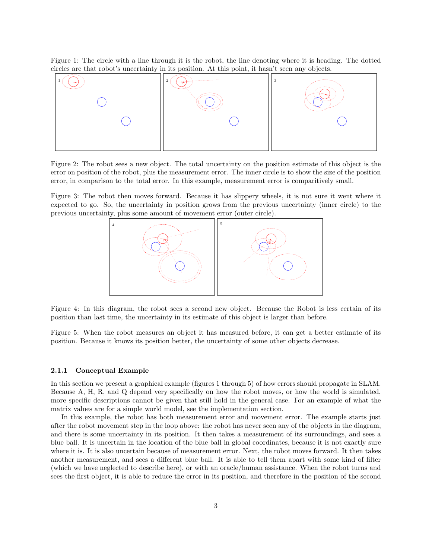Figure 1: The circle with a line through it is the robot, the line denoting where it is heading. The dotted circles are that robot's uncertainty in its position. At this point, it hasn't seen any objects.



Figure 2: The robot sees a new object. The total uncertainty on the position estimate of this object is the error on position of the robot, plus the measurement error. The inner circle is to show the size of the position error, in comparison to the total error. In this example, measurement error is comparitively small.

Figure 3: The robot then moves forward. Because it has slippery wheels, it is not sure it went where it expected to go. So, the uncertainty in position grows from the previous uncertainty (inner circle) to the previous uncertainty, plus some amount of movement error (outer circle).



Figure 4: In this diagram, the robot sees a second new object. Because the Robot is less certain of its position than last time, the uncertainty in its estimate of this object is larger than before.

Figure 5: When the robot measures an object it has measured before, it can get a better estimate of its position. Because it knows its position better, the uncertainty of some other objects decrease.

#### 2.1.1 Conceptual Example

In this section we present a graphical example (figures 1 through 5) of how errors should propagate in SLAM. Because A, H, R, and Q depend very specifically on how the robot moves, or how the world is simulated, more specific descriptions cannot be given that still hold in the general case. For an example of what the matrix values are for a simple world model, see the implementation section.

In this example, the robot has both measurement error and movement error. The example starts just after the robot movement step in the loop above: the robot has never seen any of the objects in the diagram, and there is some uncertainty in its position. It then takes a measurement of its surroundings, and sees a blue ball. It is uncertain in the location of the blue ball in global coordinates, because it is not exactly sure where it is. It is also uncertain because of measurement error. Next, the robot moves forward. It then takes another measurement, and sees a different blue ball. It is able to tell them apart with some kind of filter (which we have neglected to describe here), or with an oracle/human assistance. When the robot turns and sees the first object, it is able to reduce the error in its position, and therefore in the position of the second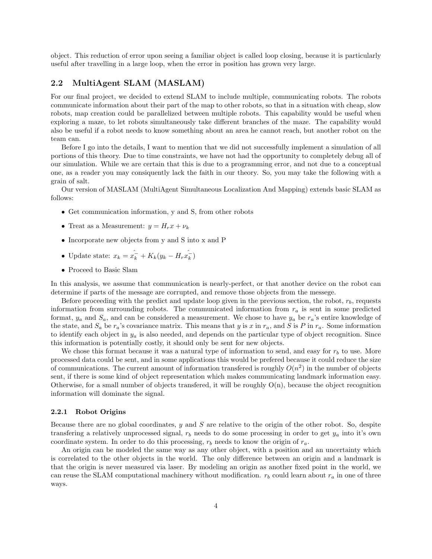object. This reduction of error upon seeing a familiar object is called loop closing, because it is particularly useful after travelling in a large loop, when the error in position has grown very large.

## 2.2 MultiAgent SLAM (MASLAM)

For our final project, we decided to extend SLAM to include multiple, communicating robots. The robots communicate information about their part of the map to other robots, so that in a situation with cheap, slow robots, map creation could be parallelized between multiple robots. This capability would be useful when exploring a maze, to let robots simultaneously take different branches of the maze. The capability would also be useful if a robot needs to know something about an area he cannot reach, but another robot on the team can.

Before I go into the details, I want to mention that we did not successfully implement a simulation of all portions of this theory. Due to time constraints, we have not had the opportunity to completely debug all of our simulation. While we are certain that this is due to a programming error, and not due to a conceptual one, as a reader you may consiquently lack the faith in our theory. So, you may take the following with a grain of salt.

Our version of MASLAM (MultiAgent Simultaneous Localization And Mapping) extends basic SLAM as follows:

- Get communication information, y and S, from other robots
- Treat as a Measurement:  $y = H_r x + \nu_k$
- Incorporate new objects from y and S into x and P
- Update state:  $x_k = x_k K_k(y_k H_r \hat{x}_k)$  $\frac{1}{k}$
- Proceed to Basic Slam

In this analysis, we assume that communication is nearly-perfect, or that another device on the robot can determine if parts of the message are corrupted, and remove those objects from the messege.

Before proceeding with the predict and update loop given in the previous section, the robot,  $r<sub>b</sub>$ , requests information from surrounding robots. The communicated information from  $r_a$  is sent in some predicted format,  $y_a$  and  $S_a$ , and can be considered a measurement. We chose to have  $y_a$  be  $r_a$ 's entire knowledge of the state, and  $S_a$  be  $r_a$ 's covariance matrix. This means that y is x in  $r_a$ , and S is P in  $r_a$ . Some information to identify each object in  $y_a$  is also needed, and depends on the particular type of object recognition. Since this information is potentially costly, it should only be sent for new objects.

We chose this format because it was a natural type of information to send, and easy for  $r_b$  to use. More processed data could be sent, and in some applications this would be prefered because it could reduce the size of communications. The current amount of information transfered is roughly  $O(n^2)$  in the number of objects sent, if there is some kind of object representation which makes communicating landmark information easy. Otherwise, for a small number of objects transfered, it will be roughly  $O(n)$ , because the object recognition information will dominate the signal.

## 2.2.1 Robot Origins

Because there are no global coordinates, y and S are relative to the origin of the other robot. So, despite transfering a relatively unprocessed signal,  $r_b$  needs to do some processing in order to get  $y_a$  into it's own coordinate system. In order to do this processing,  $r_b$  needs to know the origin of  $r_a$ .

An origin can be modeled the same way as any other object, with a position and an uncertainty which is correlated to the other objects in the world. The only difference between an origin and a landmark is that the origin is never measured via laser. By modeling an origin as another fixed point in the world, we can reuse the SLAM computational machinery without modification.  $r_b$  could learn about  $r_a$  in one of three ways.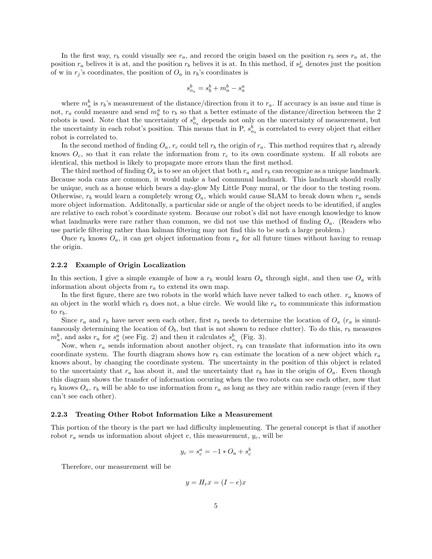In the first way,  $r_b$  could visually see  $r_a$ , and record the origin based on the position  $r_b$  sees  $r_a$  at, the position  $r_a$  belives it is at, and the position  $r_b$  belives it is at. In this method, if  $s_w^j$  denotes just the position of w in  $r_j$ 's coordinates, the position of  $O_a$  in  $r_b$ 's coordinates is

$$
s_{o_a}^b = s_b^b + m_a^b - s_a^a
$$

where  $m_a^b$  is  $r_b$ 's measurement of the distance/direction from it to  $r_a$ . If accuracy is an issue and time is not,  $r_a$  could measure and send  $m_b^a$  to  $r_b$  so that a better estimate of the distance/direction between the 2 robots is used. Note that the uncertainty of  $s_{o_a}^b$  depends not only on the uncertainty of measurement, but the uncertainty in each robot's position. This means that in P,  $s_{o_a}^b$  is correlated to every object that either robot is correlated to.

In the second method of finding  $O_a$ ,  $r_c$  could tell  $r_b$  the origin of  $r_a$ . This method requires that  $r_b$  already knows  $O_c$ , so that it can relate the information from  $r_c$  to its own coordinate system. If all robots are identical, this method is likely to propagate more errors than the first method.

The third method of finding  $O_a$  is to see an object that both  $r_a$  and  $r_b$  can recognize as a unique landmark. Because soda cans are common, it would make a bad communal landmark. This landmark should really be unique, such as a house which bears a day-glow My Little Pony mural, or the door to the testing room. Otherwise,  $r_b$  would learn a completely wrong  $O_a$ , which would cause SLAM to break down when  $r_a$  sends more object information. Additonally, a particular side or angle of the object needs to be identified, if angles are relative to each robot's coordinate system. Because our robot's did not have enough knowledge to know what landmarks were rare rather than common, we did not use this method of finding  $O_a$ . (Readers who use particle filtering rather than kalman filtering may not find this to be such a large problem.)

Once  $r_b$  knows  $O_a$ , it can get object information from  $r_a$  for all future times without having to remap the origin.

#### 2.2.2 Example of Origin Localization

In this section, I give a simple example of how a  $r_b$  would learn  $O_a$  through sight, and then use  $O_a$  with information about objects from  $r_a$  to extend its own map.

In the first figure, there are two robots in the world which have never talked to each other.  $r_a$  knows of an object in the world which  $r_b$  does not, a blue circle. We would like  $r_a$  to communicate this information to  $r_b$ .

Since  $r_a$  and  $r_b$  have never seen each other, first  $r_b$  needs to determine the location of  $O_a$  ( $r_a$  is simultaneously determining the location of  $O<sub>b</sub>$ , but that is not shown to reduce clutter). To do this,  $r<sub>b</sub>$  measures  $m_a^b$ , and asks  $r_a$  for  $s_a^a$  (see Fig. 2) and then it calculates  $s_{o_a}^b$  (Fig. 3).

Now, when  $r_a$  sends information about another object,  $r_b$  can translate that information into its own coordinate system. The fourth diagram shows how  $r_b$  can estimate the location of a new object which  $r_a$ knows about, by changing the coordinate system. The uncertainty in the position of this object is related to the uncertainty that  $r_a$  has about it, and the uncertainty that  $r_b$  has in the origin of  $O_a$ . Even though this diagram shows the transfer of information occuring when the two robots can see each other, now that  $r_b$  knows  $O_a$ ,  $r_b$  will be able to use information from  $r_a$  as long as they are within radio range (even if they can't see each other).

## 2.2.3 Treating Other Robot Information Like a Measurement

This portion of the theory is the part we had difficulty implementing. The general concept is that if another robot  $r_a$  sends us information about object c, this measurement,  $y_c$ , will be

$$
y_c = s_c^a = -1 \ast O_a + s_c^b
$$

Therefore, our measurement will be

$$
y = H_r x = (I - e)x
$$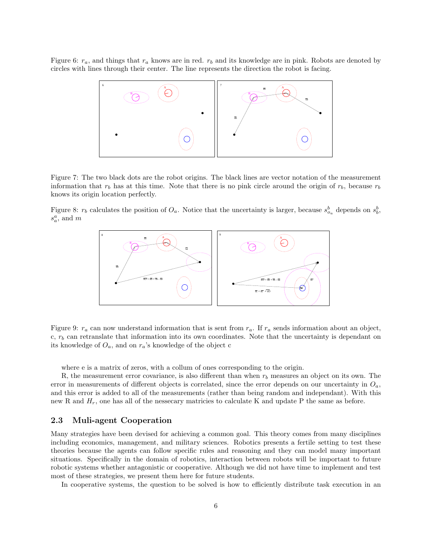Figure 6:  $r_a$ , and things that  $r_a$  knows are in red.  $r_b$  and its knowledge are in pink. Robots are denoted by circles with lines through their center. The line represents the direction the robot is facing.



Figure 7: The two black dots are the robot origins. The black lines are vector notation of the measurement information that  $r_b$  has at this time. Note that there is no pink circle around the origin of  $r_b$ , because  $r_b$ knows its origin location perfectly.

Figure 8:  $r_b$  calculates the position of  $O_a$ . Notice that the uncertainty is larger, because  $s_{o_a}^b$  depends on  $s_b^b$ ,  $s_a^a$ , and m



Figure 9:  $r_a$  can now understand information that is sent from  $r_a$ . If  $r_a$  sends information about an object, c,  $r<sub>b</sub>$  can retranslate that information into its own coordinates. Note that the uncertainty is dependant on its knowledge of  $O_a$ , and on  $r_a$ 's knowledge of the object c

where e is a matrix of zeros, with a collum of ones corresponding to the origin.

R, the measurement error covariance, is also different than when  $r<sub>b</sub>$  measures an object on its own. The error in measurements of different objects is correlated, since the error depends on our uncertainty in  $O_a$ , and this error is added to all of the measurements (rather than being random and independant). With this new R and  $H_r$ , one has all of the nessecary matricies to calculate K and update P the same as before.

## 2.3 Muli-agent Cooperation

Many strategies have been devised for achieving a common goal. This theory comes from many disciplines including economics, management, and military sciences. Robotics presents a fertile setting to test these theories because the agents can follow specific rules and reasoning and they can model many important situations. Specifically in the domain of robotics, interaction between robots will be important to future robotic systems whether antagonistic or cooperative. Although we did not have time to implement and test most of these strategies, we present them here for future students.

In cooperative systems, the question to be solved is how to efficiently distribute task execution in an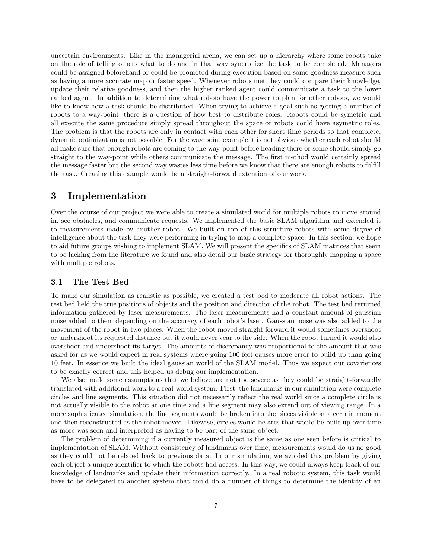uncertain environments. Like in the managerial arena, we can set up a hierarchy where some robots take on the role of telling others what to do and in that way syncronize the task to be completed. Managers could be assigned beforehand or could be promoted during execution based on some goodness measure such as having a more accurate map or faster speed. Whenever robots met they could compare their knowledge, update their relative goodness, and then the higher ranked agent could communicate a task to the lower ranked agent. In addition to determining what robots have the power to plan for other robots, we would like to know how a task should be distributed. When trying to achieve a goal such as getting a number of robots to a way-point, there is a question of how best to distribute roles. Robots could be symetric and all execute the same procedure simply spread throughout the space or robots could have asymetric roles. The problem is that the robots are only in contact with each other for short time periods so that complete, dynamic optimization is not possible. For the way point example it is not obvious whether each robot should all make sure that enough robots are coming to the way-point before heading there or some should simply go straight to the way-point while others communicate the message. The first method would certainly spread the message faster but the second way wastes less time before we know that there are enough robots to fulfill the task. Creating this example would be a straight-forward extention of our work.

## 3 Implementation

Over the course of our project we were able to create a simulated world for multiple robots to move around in, see obstacles, and communicate requests. We implemented the basic SLAM algorithm and extended it to measurements made by another robot. We built on top of this structure robots with some degree of intelligence about the task they were performing in trying to map a complete space. In this section, we hope to aid future groups wishing to implement SLAM. We will present the specifics of SLAM matrices that seem to be lacking from the literature we found and also detail our basic strategy for thoroughly mapping a space with multiple robots.

## 3.1 The Test Bed

To make our simulation as realistic as possible, we created a test bed to moderate all robot actions. The test bed held the true positions of objects and the position and direction of the robot. The test bed returned information gathered by laser measurements. The laser measurements had a constant amount of gaussian noise added to them depending on the accuracy of each robot's laser. Gaussian noise was also added to the movement of the robot in two places. When the robot moved straight forward it would sometimes overshoot or undershoot its requested distance but it would never vear to the side. When the robot turned it would also overshoot and undershoot its target. The amounts of discrepancy was proportional to the amount that was asked for as we would expect in real systems where going 100 feet causes more error to build up than going 10 feet. In essence we built the ideal gaussian world of the SLAM model. Thus we expect our covariences to be exactly correct and this helped us debug our implementation.

We also made some assumptions that we believe are not too severe as they could be straight-forwardly translated with additional work to a real-world system. First, the landmarks in our simulation were complete circles and line segments. This situation did not necessarily reflect the real world since a complete circle is not actually visible to the robot at one time and a line segment may also extend out of viewing range. In a more sophisticated simulation, the line segments would be broken into the pieces visible at a certain moment and then reconstructed as the robot moved. Likewise, circles would be arcs that would be built up over time as more was seen and interpreted as having to be part of the same object.

The problem of determining if a currently measured object is the same as one seen before is critical to implementation of SLAM. Without consistency of landmarks over time, measurements would do us no good as they could not be related back to previous data. In our simulation, we avoided this problem by giving each object a unique identifier to which the robots had access. In this way, we could always keep track of our knowledge of landmarks and update their information correctly. In a real robotic system, this task would have to be delegated to another system that could do a number of things to determine the identity of an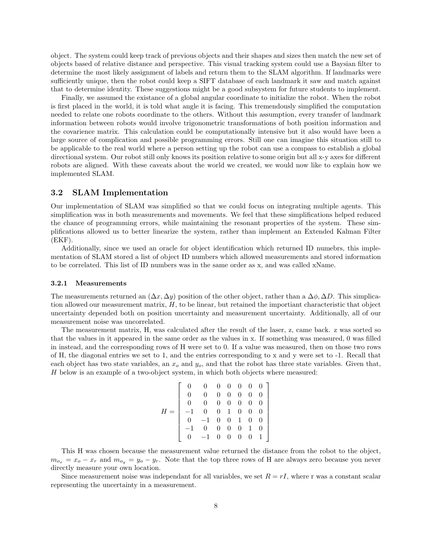object. The system could keep track of previous objects and their shapes and sizes then match the new set of objects based of relative distance and perspective. This visual tracking system could use a Baysian filter to determine the most likely assignment of labels and return them to the SLAM algorithm. If landmarks were sufficiently unique, then the robot could keep a SIFT database of each landmark it saw and match against that to determine identity. These suggestions might be a good subsystem for future students to implement.

Finally, we assumed the existance of a global angular coordinate to initialize the robot. When the robot is first placed in the world, it is told what angle it is facing. This tremendously simplified the computation needed to relate one robots coordinate to the others. Without this assumption, every transfer of landmark information between robots would involve trigonometric transformations of both position information and the covarience matrix. This calculation could be computationally intensive but it also would have been a large source of complication and possible programming errors. Still one can imagine this situation still to be applicable to the real world where a person setting up the robot can use a compass to establish a global directional system. Our robot still only knows its position relative to some origin but all x-y axes for different robots are aligned. With these caveats about the world we created, we would now like to explain how we implemented SLAM.

## 3.2 SLAM Implementation

Our implementation of SLAM was simplified so that we could focus on integrating multiple agents. This simplification was in both measurements and movements. We feel that these simplifications helped reduced the chance of programming errors, while maintaining the resonant properties of the system. These simplifications allowed us to better linearize the system, rather than implement an Extended Kalman Filter  $(EKF)$ .

Additionally, since we used an oracle for object identification which returned ID numebrs, this implementation of SLAM stored a list of object ID numbers which allowed measurements and stored information to be correlated. This list of ID numbers was in the same order as x, and was called xName.

### 3.2.1 Measurements

The measurements returned an  $(\Delta x, \Delta y)$  position of the other object, rather than a  $\Delta \phi$ ,  $\Delta D$ . This simplication allowed our measurement matrix, H, to be linear, but retained the importiant characteristic that object uncertainty depended both on position uncertainty and measurement uncertainty. Additionally, all of our measurement noise was uncorrelated.

The measurement matrix, H, was calculated after the result of the laser, z, came back. z was sorted so that the values in it appeared in the same order as the values in x. If something was measured, 0 was filled in instead, and the corresponding rows of H were set to 0. If a value was measured, then on those two rows of H, the diagonal entries we set to 1, and the entries corresponding to x and y were set to -1. Recall that each object has two state variables, an  $x_o$  and  $y_o$ , and that the robot has three state variables. Given that, H below is an example of a two-object system, in which both objects where measured:

> 1  $\overline{1}$  $\mathbf{I}$  $\mathbf{I}$  $\mathbf{I}$  $\mathbf{I}$  $\mathbf{I}$  $\mathbf{I}$  $\mathbf{I}$  $\mathbf{I}$

$$
H = \begin{bmatrix} 0 & 0 & 0 & 0 & 0 & 0 & 0 \\ 0 & 0 & 0 & 0 & 0 & 0 & 0 \\ 0 & 0 & 0 & 0 & 0 & 0 & 0 \\ -1 & 0 & 0 & 1 & 0 & 0 & 0 \\ 0 & -1 & 0 & 0 & 1 & 0 & 0 \\ -1 & 0 & 0 & 0 & 0 & 1 & 0 \\ 0 & -1 & 0 & 0 & 0 & 0 & 1 \end{bmatrix}
$$

This H was chosen because the measurement value returned the distance from the robot to the object,  $m_{o_x} = x_o - x_r$  and  $m_{o_y} = y_o - y_r$ . Note that the top three rows of H are always zero because you never directly measure your own location.

Since measurement noise was independant for all variables, we set  $R = rI$ , where r was a constant scalar representing the uncertainty in a measurement.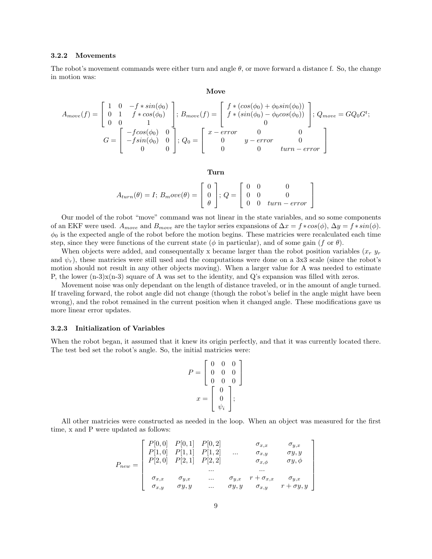#### 3.2.2 Movements

The robot's movement commands were either turn and angle  $\theta$ , or move forward a distance f. So, the change in motion was:

#### Move

$$
A_{move}(f) = \begin{bmatrix} 1 & 0 & -f * sin(\phi_0) \\ 0 & 1 & f * cos(\phi_0) \\ 0 & 0 & 1 \end{bmatrix}; B_{move}(f) = \begin{bmatrix} f * (cos(\phi_0) + \phi_0 sin(\phi_0)) \\ f * (sin(\phi_0) - \phi_0 cos(\phi_0)) \\ 0 & 0 \end{bmatrix}; Q_{move} = GQ_0 G^t;
$$
  

$$
G = \begin{bmatrix} -f cos(\phi_0) & 0 \\ -f sin(\phi_0) & 0 \\ 0 & 0 \end{bmatrix}; Q_0 = \begin{bmatrix} x - error & 0 & 0 \\ 0 & y - error & 0 \\ 0 & 0 & turn - error \end{bmatrix}
$$

#### Turn

$$
A_{turn}(\theta) = I; B_move(\theta) = \begin{bmatrix} 0 \\ 0 \\ \theta \end{bmatrix}; Q = \begin{bmatrix} 0 & 0 & 0 \\ 0 & 0 & 0 \\ 0 & 0 & turn-error \end{bmatrix}
$$

Our model of the robot "move" command was not linear in the state variables, and so some components of an EKF were used.  $A_{move}$  and  $B_{move}$  are the taylor series expansions of  $\Delta x = f * cos(\phi)$ ,  $\Delta y = f * sin(\phi)$ .  $\phi_0$  is the expected angle of the robot before the motion begins. These matricies were recalculated each time step, since they were functions of the current state ( $\phi$  in particular), and of some gain (f or  $\theta$ ).

When objects were added, and consequentally x became larger than the robot position variables  $(x<sub>r</sub> y<sub>r</sub>)$ and  $\psi_r$ ), these matricies were still used and the computations were done on a 3x3 scale (since the robot's motion should not result in any other objects moving). When a larger value for A was needed to estimate P, the lower  $(n-3)x(n-3)$  square of A was set to the identity, and Q's expansion was filled with zeros.

Movement noise was only dependant on the length of distance traveled, or in the amount of angle turned. If traveling forward, the robot angle did not change (though the robot's belief in the angle might have been wrong), and the robot remained in the current position when it changed angle. These modifications gave us more linear error updates.

### 3.2.3 Initialization of Variables

When the robot began, it assumed that it knew its origin perfectly, and that it was currently located there. The test bed set the robot's angle. So, the initial matricies were:

$$
P = \begin{bmatrix} 0 & 0 & 0 \\ 0 & 0 & 0 \\ 0 & 0 & 0 \end{bmatrix}
$$

$$
x = \begin{bmatrix} 0 \\ 0 \\ \psi_i \end{bmatrix};
$$

All other matricies were constructed as needed in the loop. When an object was measured for the first time, x and P were updated as follows:

$$
P_{new} = \left[\begin{array}{ccccc} P[0,0] & P[0,1] & P[0,2] & \sigma_{x,x} & \sigma_{y,x} \\ P[1,0] & P[1,1] & P[1,2] & \dots & \sigma_{x,y} & \sigma_{y,y} \\ P[2,0] & P[2,1] & P[2,2] & \sigma_{x,\phi} & \sigma_{y,\phi} \\ \dots & \dots & \dots & \dots \\ \sigma_{x,x} & \sigma_{y,x} & \dots & \sigma_{y,x} & r + \sigma_{x,x} & \sigma_{y,x} \\ \sigma_{x,y} & \sigma_{y,y} & \dots & \sigma_{y,y} & \sigma_{x,y} & r + \sigma_{y,y} \end{array}\right]
$$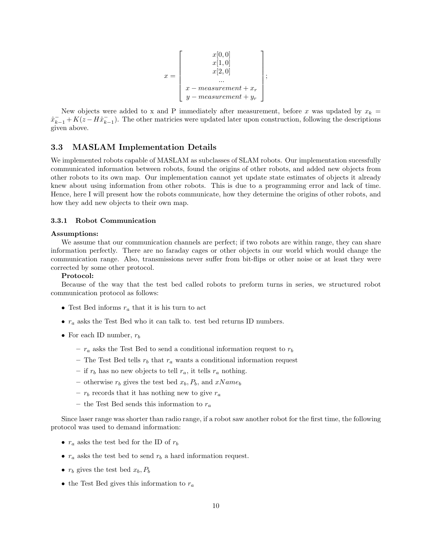$$
x = \begin{bmatrix} x[0,0] \\ x[1,0] \\ x[2,0] \\ \dots \\ x - measurement + x_r \\ y - measurement + y_r \end{bmatrix};
$$

New objects were added to x and P immediately after measurement, before x was updated by  $x_k =$  $\hat{x}_{k-1}^- + K(z-H\hat{x}_{k-1}^-)$ . The other matricies were updated later upon construction, following the descriptions given above.

## 3.3 MASLAM Implementation Details

We implemented robots capable of MASLAM as subclasses of SLAM robots. Our implementation sucessfully communicated information between robots, found the origins of other robots, and added new objects from other robots to its own map. Our implementation cannot yet update state estimates of objects it already knew about using information from other robots. This is due to a programming error and lack of time. Hence, here I will present how the robots communicate, how they determine the origins of other robots, and how they add new objects to their own map.

## 3.3.1 Robot Communication

#### Assumptions:

We assume that our communication channels are perfect; if two robots are within range, they can share information perfectly. There are no faraday cages or other objects in our world which would change the communication range. Also, transmissions never suffer from bit-flips or other noise or at least they were corrected by some other protocol.

### Protocol:

Because of the way that the test bed called robots to preform turns in series, we structured robot communication protocol as follows:

- Test Bed informs  $r_a$  that it is his turn to act
- $r_a$  asks the Test Bed who it can talk to. test bed returns ID numbers.
- For each ID number,  $r_b$ 
	- $r_a$  asks the Test Bed to send a conditional information request to  $r_b$
	- The Test Bed tells  $r_b$  that  $r_a$  wants a conditional information request
	- if  $r_b$  has no new objects to tell  $r_a$ , it tells  $r_a$  nothing.
	- otherwise  $r_b$  gives the test bed  $x_b$ ,  $P_b$ , and  $xName_b$
	- $r_b$  records that it has nothing new to give  $r_a$
	- the Test Bed sends this information to  $r_a$

Since laser range was shorter than radio range, if a robot saw another robot for the first time, the following protocol was used to demand information:

- $r_a$  asks the test bed for the ID of  $r_b$
- $r_a$  asks the test bed to send  $r_b$  a hard information request.
- $r_b$  gives the test bed  $x_b$ ,  $P_b$
- the Test Bed gives this information to  $r_a$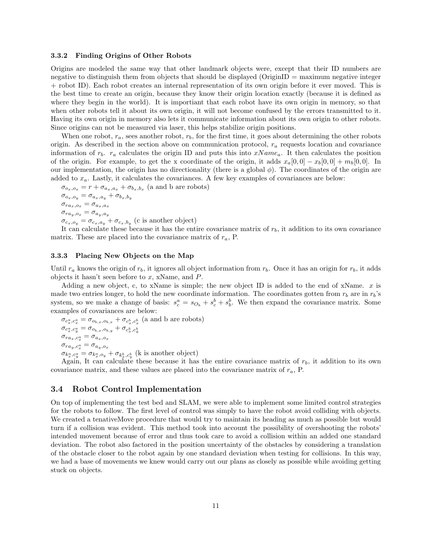#### 3.3.2 Finding Origins of Other Robots

Origins are modeled the same way that other landmark objects were, except that their ID numbers are negative to distinguish them from objects that should be displayed (OriginID = maximum negative integer + robot ID). Each robot creates an internal representation of its own origin before it ever moved. This is the best time to create an origin, because they know their origin location exactly (because it is defined as where they begin in the world). It is importiant that each robot have its own origin in memory, so that when other robots tell it about its own origin, it will not become confused by the errors transmitted to it. Having its own origin in memory also lets it communicate information about its own origin to other robots. Since origins can not be measured via laser, this helps stabilize origin positions.

When one robot,  $r_a$ , sees another robot,  $r_b$ , for the first time, it goes about determining the other robots origin. As described in the section above on communication protocol,  $r_a$  requests location and covariance information of  $r_b$ .  $r_a$  calculates the origin ID and puts this into  $xName_a$ . It then calculates the position of the origin. For example, to get the x coordinate of the origin, it adds  $x_a[0,0] - x_b[0,0] + m_b[0,0]$ . In our implementation, the origin has no directionality (there is a global  $\phi$ ). The coordinates of the origin are added to  $x_a$ . Lastly, it calculates the covariances. A few key examples of covariances are below:

 $\sigma_{o_x,o_x} = r + \sigma_{a_x,a_x} + \sigma_{b_x,b_x}$  (a and b are robots)  $\sigma_{o_x,o_y} = \sigma_{a_x,a_y} + \sigma_{b_x,b_y}$  $\sigma_{ra_x,o_x} = \sigma_{a_x,a_x}$  $\sigma_{ra_y,o_x}=\sigma_{a_y,a_y}$  $\sigma_{c_x, o_y} = \sigma_{c_x, a_y} + \sigma_{c_x, b_y}$  (c is another object)

It can calculate these because it has the entire covariance matrix of  $r<sub>b</sub>$ , it addition to its own covariance matrix. These are placed into the covariance matrix of  $r_a$ , P.

### 3.3.3 Placing New Objects on the Map

Until  $r_a$  knows the origin of  $r_b$ , it ignores all object information from  $r_b$ . Once it has an origin for  $r_b$ , it adds objects it hasn't seen before to x, xName, and  $P$ .

Adding a new object, c, to xName is simple; the new object ID is added to the end of xName.  $x$  is made two entries longer, to hold the new coordinate information. The coordinates gotten from  $r_b$  are in  $r_b$ 's system, so we make a change of basis:  $s_c^a = s_{O_b} + s_c^b + s_b^b$ . We then expand the covariance matrix. Some examples of covariances are below:

σc a x ,c<sup>a</sup> <sup>x</sup> = σ<sup>o</sup>b,x,ob,x + σ<sup>c</sup> b x ,c<sup>b</sup> x (a and b are robots) σc<sup>a</sup> x ,c<sup>a</sup> <sup>y</sup> = σ<sup>o</sup>b,x,ob,y + σ<sup>c</sup> b x ,c<sup>b</sup> y σrax,c<sup>a</sup> <sup>x</sup> = σ<sup>a</sup>x,o<sup>x</sup> σray,c<sup>a</sup> <sup>x</sup> = σ<sup>a</sup>y,o<sup>x</sup> σk<sup>a</sup> ,c<sup>a</sup> <sup>y</sup> = σk<sup>a</sup> ,o<sup>y</sup> + σk<sup>b</sup> ,c<sup>b</sup> (k is another object)

Again, It can calculate these because it has the entire covariance matrix of  $r_b$ , it addition to its own covariance matrix, and these values are placed into the covariance matrix of  $r_a$ , P.

### 3.4 Robot Control Implementation

On top of implementing the test bed and SLAM, we were able to implement some limited control strategies for the robots to follow. The first level of control was simply to have the robot avoid colliding with objects. We created a tenativeMove procedure that would try to maintain its heading as much as possible but would turn if a collision was evident. This method took into account the possibility of overshooting the robots' intended movement because of error and thus took care to avoid a collision within an added one standard deviation. The robot also factored in the position uncertainty of the obstacles by considering a translation of the obstacle closer to the robot again by one standard deviation when testing for collisions. In this way, we had a base of movements we knew would carry out our plans as closely as possible while avoiding getting stuck on objects.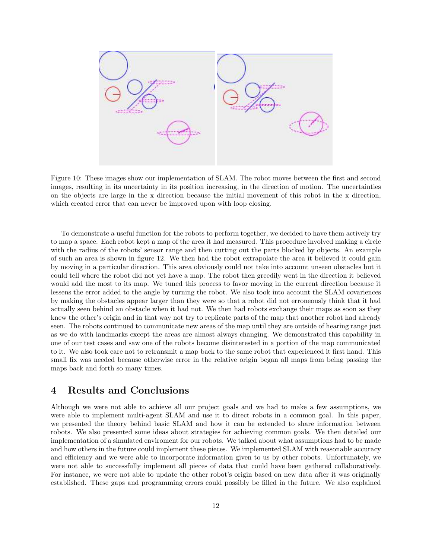

Figure 10: These images show our implementation of SLAM. The robot moves between the first and second images, resulting in its uncertainty in its position increasing, in the direction of motion. The uncertainties on the objects are large in the x direction because the initial movement of this robot in the x direction, which created error that can never be improved upon with loop closing.

To demonstrate a useful function for the robots to perform together, we decided to have them actively try to map a space. Each robot kept a map of the area it had measured. This procedure involved making a circle with the radius of the robots' sensor range and then cutting out the parts blocked by objects. An example of such an area is shown in figure 12. We then had the robot extrapolate the area it believed it could gain by moving in a particular direction. This area obviously could not take into account unseen obstacles but it could tell where the robot did not yet have a map. The robot then greedily went in the direction it believed would add the most to its map. We tuned this process to favor moving in the current direction because it lessens the error added to the angle by turning the robot. We also took into account the SLAM covariences by making the obstacles appear larger than they were so that a robot did not erroneously think that it had actually seen behind an obstacle when it had not. We then had robots exchange their maps as soon as they knew the other's origin and in that way not try to replicate parts of the map that another robot had already seen. The robots continued to communicate new areas of the map until they are outside of hearing range just as we do with landmarks except the areas are almost always changing. We demonstrated this capability in one of our test cases and saw one of the robots become disinterested in a portion of the map communicated to it. We also took care not to retransmit a map back to the same robot that experienced it first hand. This small fix was needed because otherwise error in the relative origin began all maps from being passing the maps back and forth so many times.

## 4 Results and Conclusions

Although we were not able to achieve all our project goals and we had to make a few assumptions, we were able to implement multi-agent SLAM and use it to direct robots in a common goal. In this paper, we presented the theory behind basic SLAM and how it can be extended to share information between robots. We also presented some ideas about strategies for achieving common goals. We then detailed our implementation of a simulated enviroment for our robots. We talked about what assumptions had to be made and how others in the future could implement these pieces. We implemented SLAM with reasonable accuracy and efficiency and we were able to incorporate information given to us by other robots. Unfortunately, we were not able to successfully implement all pieces of data that could have been gathered collaboratively. For instance, we were not able to update the other robot's origin based on new data after it was originally established. These gaps and programming errors could possibly be filled in the future. We also explained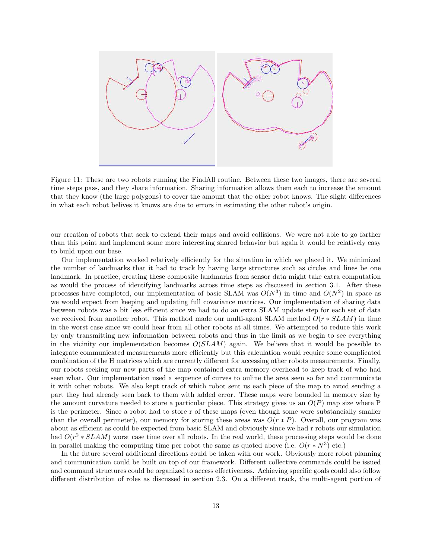

Figure 11: These are two robots running the FindAll routine. Between these two images, there are several time steps pass, and they share information. Sharing information allows them each to increase the amount that they know (the large polygons) to cover the amount that the other robot knows. The slight differences in what each robot belives it knows are due to errors in estimating the other robot's origin.

our creation of robots that seek to extend their maps and avoid collisions. We were not able to go farther than this point and implement some more interesting shared behavior but again it would be relatively easy to build upon our base.

Our implementation worked relatively efficiently for the situation in which we placed it. We minimized the number of landmarks that it had to track by having large structures such as circles and lines be one landmark. In practice, creating these composite landmarks from sensor data might take extra computation as would the process of identifying landmarks across time steps as discussed in section 3.1. After these processes have completed, our implementation of basic SLAM was  $O(N^3)$  in time and  $O(N^2)$  in space as we would expect from keeping and updating full covariance matrices. Our implementation of sharing data between robots was a bit less efficient since we had to do an extra SLAM update step for each set of data we received from another robot. This method made our multi-agent SLAM method  $O(r * SLAM)$  in time in the worst case since we could hear from all other robots at all times. We attempted to reduce this work by only transmitting new information between robots and thus in the limit as we begin to see everything in the vicinity our implementation becomes  $O(SLAM)$  again. We believe that it would be possible to integrate communicated measurements more efficiently but this calculation would require some complicated combination of the H matrices which are currently different for accessing other robots measurements. Finally, our robots seeking our new parts of the map contained extra memory overhead to keep track of who had seen what. Our implementation used a sequence of curves to ouline the area seen so far and communicate it with other robots. We also kept track of which robot sent us each piece of the map to avoid sending a part they had already seen back to them with added error. These maps were bounded in memory size by the amount curvature needed to store a particular piece. This strategy gives us an  $O(P)$  map size where P is the perimeter. Since a robot had to store r of these maps (even though some were substancially smaller than the overall perimeter), our memory for storing these areas was  $O(r * P)$ . Overall, our program was about as efficient as could be expected from basic SLAM and obviously since we had r robots our simulation had  $O(r^2 * SLAM)$  worst case time over all robots. In the real world, these processing steps would be done in parallel making the computing time per robot the same as quoted above (i.e.  $O(r * N^3)$  etc.)

In the future several additional directions could be taken with our work. Obviously more robot planning and communication could be built on top of our framework. Different collective commands could be issued and command structures could be organized to access effectiveness. Achieving specific goals could also follow different distribution of roles as discussed in section 2.3. On a different track, the multi-agent portion of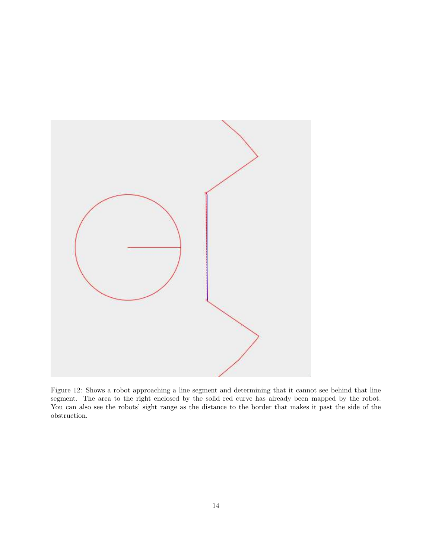

Figure 12: Shows a robot approaching a line segment and determining that it cannot see behind that line segment. The area to the right enclosed by the solid red curve has already been mapped by the robot. You can also see the robots' sight range as the distance to the border that makes it past the side of the obstruction.